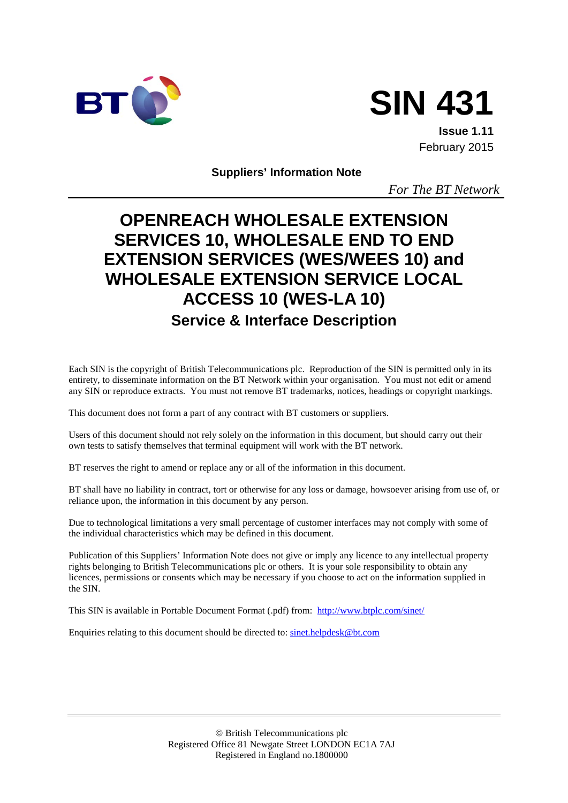



**Issue 1.11** February 2015

**Suppliers' Information Note**

*For The BT Network*

# **OPENREACH WHOLESALE EXTENSION SERVICES 10, WHOLESALE END TO END EXTENSION SERVICES (WES/WEES 10) and WHOLESALE EXTENSION SERVICE LOCAL ACCESS 10 (WES-LA 10) Service & Interface Description**

Each SIN is the copyright of British Telecommunications plc. Reproduction of the SIN is permitted only in its entirety, to disseminate information on the BT Network within your organisation. You must not edit or amend any SIN or reproduce extracts. You must not remove BT trademarks, notices, headings or copyright markings.

This document does not form a part of any contract with BT customers or suppliers.

Users of this document should not rely solely on the information in this document, but should carry out their own tests to satisfy themselves that terminal equipment will work with the BT network.

BT reserves the right to amend or replace any or all of the information in this document.

BT shall have no liability in contract, tort or otherwise for any loss or damage, howsoever arising from use of, or reliance upon, the information in this document by any person.

Due to technological limitations a very small percentage of customer interfaces may not comply with some of the individual characteristics which may be defined in this document.

Publication of this Suppliers' Information Note does not give or imply any licence to any intellectual property rights belonging to British Telecommunications plc or others. It is your sole responsibility to obtain any licences, permissions or consents which may be necessary if you choose to act on the information supplied in the SIN.

This SIN is available in Portable Document Format (.pdf) from: <http://www.btplc.com/sinet/>

Enquiries relating to this document should be directed to: [sinet.helpdesk@bt.com](mailto:sinet.helpdesk@bt.com)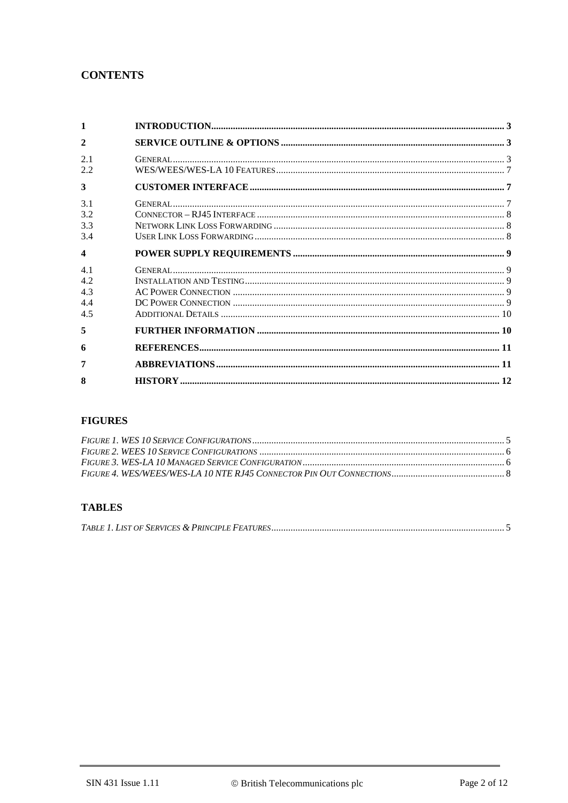### **CONTENTS**

| 1                               |  |
|---------------------------------|--|
| $\overline{2}$                  |  |
| 2.1<br>2.2                      |  |
| 3                               |  |
| 3.1<br>3.2<br>3.3<br>3.4        |  |
| $\overline{\mathbf{4}}$         |  |
| 4.1<br>4.2<br>4.3<br>4.4<br>4.5 |  |
| 5                               |  |
| 6                               |  |
| 7                               |  |
| 8                               |  |

### **FIGURES**

### **TABLES**

|--|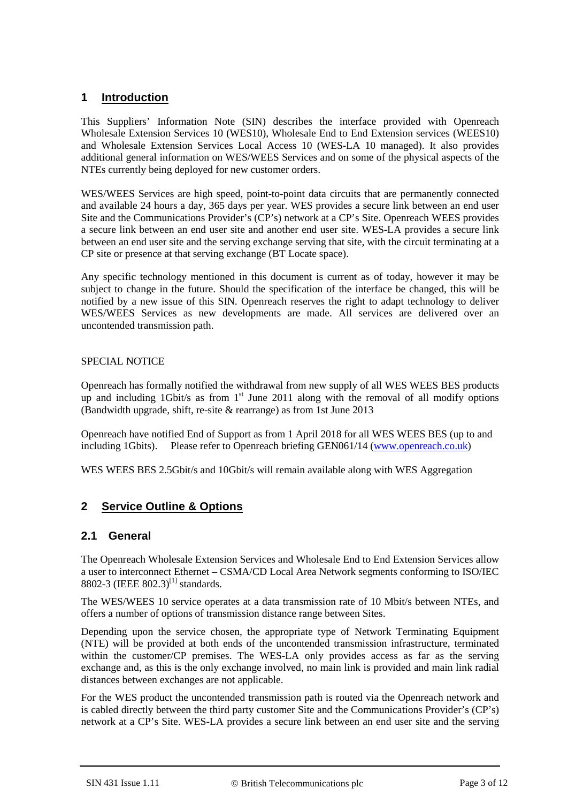### **1 Introduction**

This Suppliers' Information Note (SIN) describes the interface provided with Openreach Wholesale Extension Services 10 (WES10), Wholesale End to End Extension services (WEES10) and Wholesale Extension Services Local Access 10 (WES-LA 10 managed). It also provides additional general information on WES/WEES Services and on some of the physical aspects of the NTEs currently being deployed for new customer orders.

WES/WEES Services are high speed, point-to-point data circuits that are permanently connected and available 24 hours a day, 365 days per year. WES provides a secure link between an end user Site and the Communications Provider's (CP's) network at a CP's Site. Openreach WEES provides a secure link between an end user site and another end user site. WES-LA provides a secure link between an end user site and the serving exchange serving that site, with the circuit terminating at a CP site or presence at that serving exchange (BT Locate space).

Any specific technology mentioned in this document is current as of today, however it may be subject to change in the future. Should the specification of the interface be changed, this will be notified by a new issue of this SIN. Openreach reserves the right to adapt technology to deliver WES/WEES Services as new developments are made. All services are delivered over an uncontended transmission path.

#### SPECIAL NOTICE

Openreach has formally notified the withdrawal from new supply of all WES WEES BES products up and including 1Gbit/s as from  $1<sup>st</sup>$  June 2011 along with the removal of all modify options (Bandwidth upgrade, shift, re-site & rearrange) as from 1st June 2013

Openreach have notified End of Support as from 1 April 2018 for all WES WEES BES (up to and including 1Gbits). Please refer to Openreach briefing GEN061/14 [\(www.openreach.co.uk\)](http://www.openreach.co.uk/)

WES WEES BES 2.5Gbit/s and 10Gbit/s will remain available along with WES Aggregation

### **2 Service Outline & Options**

#### **2.1 General**

The Openreach Wholesale Extension Services and Wholesale End to End Extension Services allow a user to interconnect Ethernet – CSMA/CD Local Area Network segments conforming to ISO/IEC 8802-3 (IEEE 802.3)<sup>[\[1\]](#page-10-0)</sup> standards.

The WES/WEES 10 service operates at a data transmission rate of 10 Mbit/s between NTEs, and offers a number of options of transmission distance range between Sites.

Depending upon the service chosen, the appropriate type of Network Terminating Equipment (NTE) will be provided at both ends of the uncontended transmission infrastructure, terminated within the customer/CP premises. The WES-LA only provides access as far as the serving exchange and, as this is the only exchange involved, no main link is provided and main link radial distances between exchanges are not applicable.

For the WES product the uncontended transmission path is routed via the Openreach network and is cabled directly between the third party customer Site and the Communications Provider's (CP's) network at a CP's Site. WES-LA provides a secure link between an end user site and the serving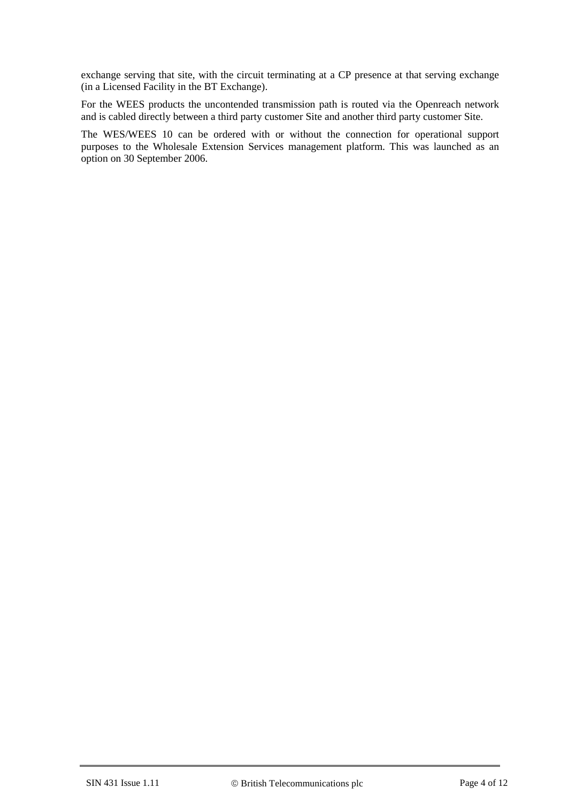exchange serving that site, with the circuit terminating at a CP presence at that serving exchange (in a Licensed Facility in the BT Exchange).

For the WEES products the uncontended transmission path is routed via the Openreach network and is cabled directly between a third party customer Site and another third party customer Site.

The WES/WEES 10 can be ordered with or without the connection for operational support purposes to the Wholesale Extension Services management platform. This was launched as an option on 30 September 2006.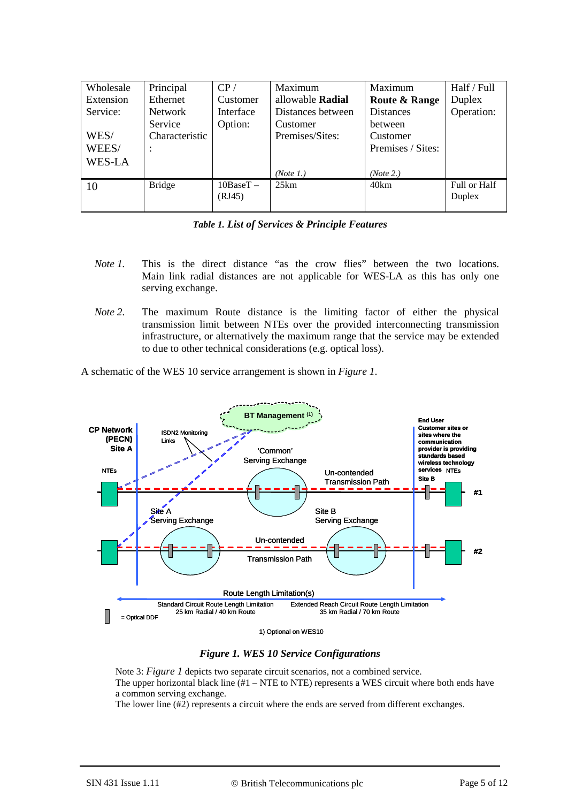| Wholesale | Principal      | CP/         | Maximum                 | Maximum                  | Half / Full  |
|-----------|----------------|-------------|-------------------------|--------------------------|--------------|
| Extension | Ethernet       | Customer    | allowable <b>Radial</b> | <b>Route &amp; Range</b> | Duplex       |
| Service:  | <b>Network</b> | Interface   | Distances between       | <b>Distances</b>         | Operation:   |
|           | Service        | Option:     | Customer                | <b>between</b>           |              |
| WES/      | Characteristic |             | Premises/Sites:         | Customer                 |              |
| WEES/     |                |             |                         | Premises / Sites:        |              |
| WES-LA    |                |             |                         |                          |              |
|           |                |             | (Note 1.)               | (Note 2.)                |              |
| 10        | <b>Bridge</b>  | $10BaseT -$ | 25km                    | 40km                     | Full or Half |
|           |                | (RJ45)      |                         |                          | Duplex       |
|           |                |             |                         |                          |              |

|  |  | <b>Table 1. List of Services &amp; Principle Features</b> |  |  |  |
|--|--|-----------------------------------------------------------|--|--|--|
|--|--|-----------------------------------------------------------|--|--|--|

- *Note 1.* This is the direct distance "as the crow flies" between the two locations. Main link radial distances are not applicable for WES-LA as this has only one serving exchange.
- *Note 2.* The maximum Route distance is the limiting factor of either the physical transmission limit between NTEs over the provided interconnecting transmission infrastructure, or alternatively the maximum range that the service may be extended to due to other technical considerations (e.g. optical loss).

A schematic of the WES 10 service arrangement is shown in *[Figure 1](#page-4-0)*.



1) Optional on WES10

#### *Figure 1. WES 10 Service Configurations*

<span id="page-4-0"></span>Note 3: *[Figure 1](#page-4-0)* depicts two separate circuit scenarios, not a combined service. The upper horizontal black line  $(H1 - NTE)$  represents a WES circuit where both ends have a common serving exchange.

The lower line (#2) represents a circuit where the ends are served from different exchanges.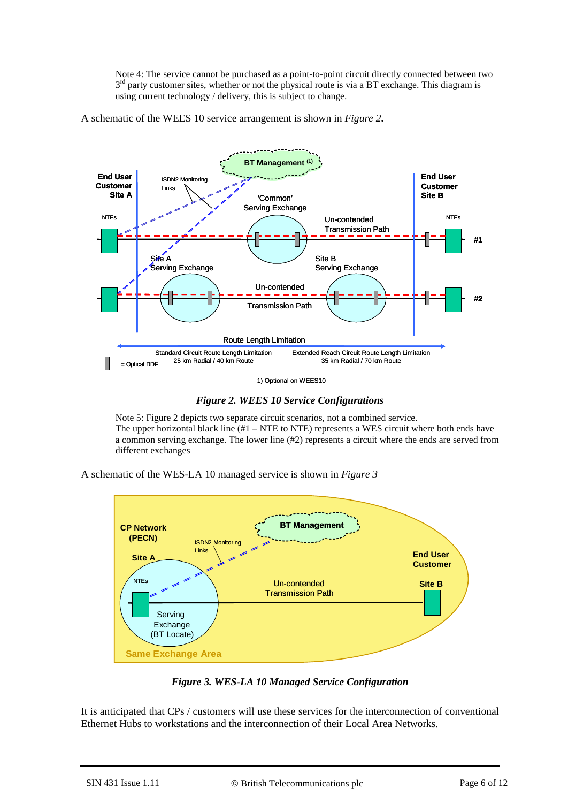Note 4: The service cannot be purchased as a point-to-point circuit directly connected between two  $3<sup>rd</sup>$  party customer sites, whether or not the physical route is via a BT exchange. This diagram is using current technology / delivery, this is subject to change.

A schematic of the WEES 10 service arrangement is shown in *[Figure 2](#page-5-0)***.**



*Figure 2. WEES 10 Service Configurations*

<span id="page-5-0"></span>Note 5: Figure 2 depicts two separate circuit scenarios, not a combined service. The upper horizontal black line  $(H - NTE$  to NTE) represents a WES circuit where both ends have a common serving exchange. The lower line (#2) represents a circuit where the ends are served from different exchanges

A schematic of the WES-LA 10 managed service is shown in *[Figure 3](#page-5-1)*



*Figure 3. WES-LA 10 Managed Service Configuration*

<span id="page-5-1"></span>It is anticipated that CPs / customers will use these services for the interconnection of conventional Ethernet Hubs to workstations and the interconnection of their Local Area Networks.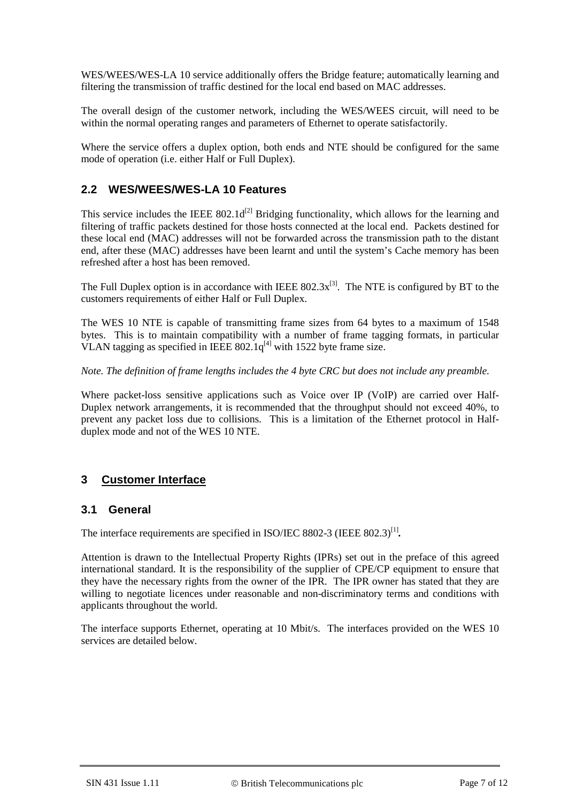WES/WEES/WES-LA 10 service additionally offers the Bridge feature; automatically learning and filtering the transmission of traffic destined for the local end based on MAC addresses.

The overall design of the customer network, including the WES/WEES circuit, will need to be within the normal operating ranges and parameters of Ethernet to operate satisfactorily.

Where the service offers a duplex option, both ends and NTE should be configured for the same mode of operation (i.e. either Half or Full Duplex).

#### **2.2 WES/WEES/WES-LA 10 Features**

This service includes the IEEE  $802.1d^{[2]}$  Bridging functionality, which allows for the learning and filtering of traffic packets destined for those hosts connected at the local end. Packets destined for these local end (MAC) addresses will not be forwarded across the transmission path to the distant end, after these (MAC) addresses have been learnt and until the system's Cache memory has been refreshed after a host has been removed.

The Full Duplex option is in accordance with IEEE  $802.3x^{[3]}$ . The NTE is configured by BT to the customers requirements of either Half or Full Duplex.

The WES 10 NTE is capable of transmitting frame sizes from 64 bytes to a maximum of 1548 bytes. This is to maintain compatibility with a number of frame tagging formats, in particular VLAN tagging as specified in IEEE  $802.1q^{[4]}$  with 1522 byte frame size.

*Note. The definition of frame lengths includes the 4 byte CRC but does not include any preamble.*

Where packet-loss sensitive applications such as Voice over IP (VoIP) are carried over Half-Duplex network arrangements, it is recommended that the throughput should not exceed 40%, to prevent any packet loss due to collisions. This is a limitation of the Ethernet protocol in Halfduplex mode and not of the WES 10 NTE.

#### **3 Customer Interface**

#### **3.1 General**

The interface requirements are specified in ISO/IEC 8802-3 (IEEE 802.3)<sup>[\[1\]](#page-10-0)</sup>.

Attention is drawn to the Intellectual Property Rights (IPRs) set out in the preface of this agreed international standard. It is the responsibility of the supplier of CPE/CP equipment to ensure that they have the necessary rights from the owner of the IPR. The IPR owner has stated that they are willing to negotiate licences under reasonable and non-discriminatory terms and conditions with applicants throughout the world.

The interface supports Ethernet, operating at 10 Mbit/s. The interfaces provided on the WES 10 services are detailed below.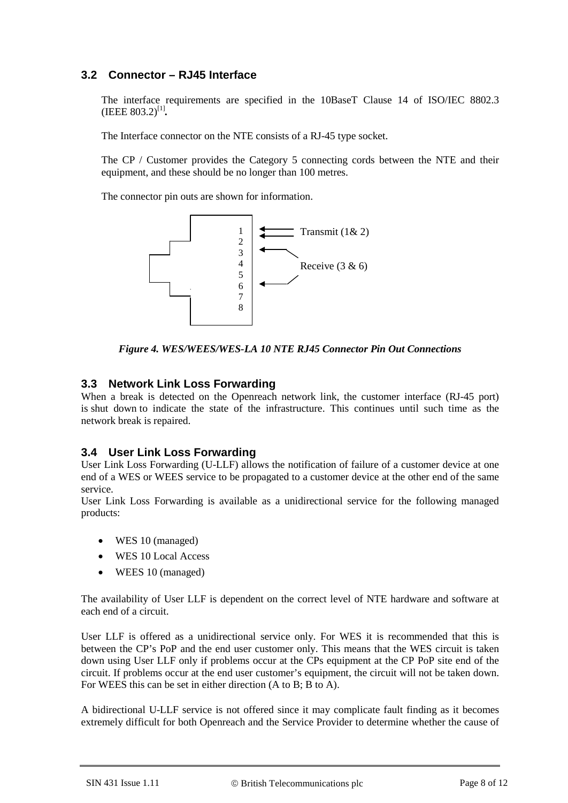#### **3.2 Connector – RJ45 Interface**

The interface requirements are specified in the 10BaseT Clause 14 of ISO/IEC 8802.3 (IEEE  $803.2$ )<sup>[\[1\]](#page-10-0)</sup>.

The Interface connector on the NTE consists of a RJ-45 type socket.

The CP / Customer provides the Category 5 connecting cords between the NTE and their equipment, and these should be no longer than 100 metres.

The connector pin outs are shown for information.



<span id="page-7-0"></span>*Figure 4. WES/WEES/WES-LA 10 NTE RJ45 Connector Pin Out Connections*

#### **3.3 Network Link Loss Forwarding**

When a break is detected on the Openreach network link, the customer interface (RJ-45 port) is shut down to indicate the state of the infrastructure. This continues until such time as the network break is repaired.

#### **3.4 User Link Loss Forwarding**

User Link Loss Forwarding (U-LLF) allows the notification of failure of a customer device at one end of a WES or WEES service to be propagated to a customer device at the other end of the same service.

User Link Loss Forwarding is available as a unidirectional service for the following managed products:

- WES 10 (managed)
- WES 10 Local Access
- WEES 10 (managed)

The availability of User LLF is dependent on the correct level of NTE hardware and software at each end of a circuit.

User LLF is offered as a unidirectional service only. For WES it is recommended that this is between the CP's PoP and the end user customer only. This means that the WES circuit is taken down using User LLF only if problems occur at the CPs equipment at the CP PoP site end of the circuit. If problems occur at the end user customer's equipment, the circuit will not be taken down. For WEES this can be set in either direction (A to B; B to A).

A bidirectional U-LLF service is not offered since it may complicate fault finding as it becomes extremely difficult for both Openreach and the Service Provider to determine whether the cause of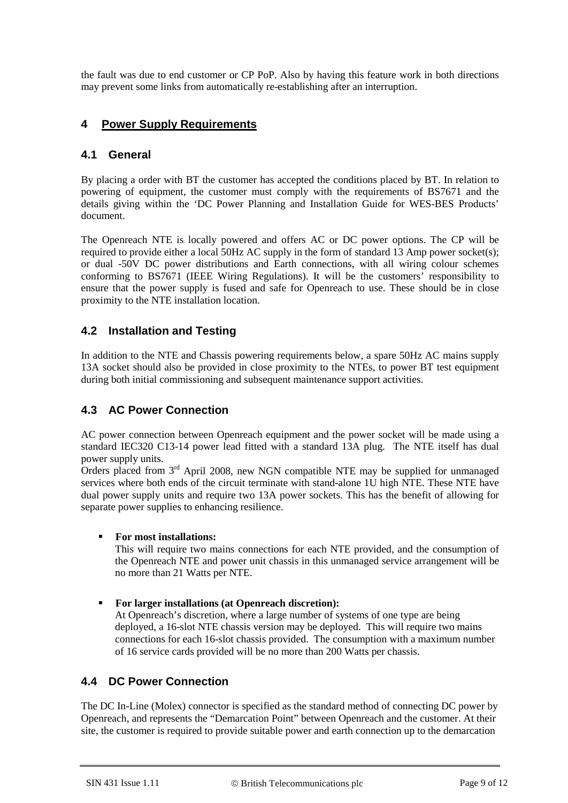the fault was due to end customer or CP PoP. Also by having this feature work in both directions may prevent some links from automatically re-establishing after an interruption.

### **4 Power Supply Requirements**

#### **4.1 General**

By placing a order with BT the customer has accepted the conditions placed by BT. In relation to powering of equipment, the customer must comply with the requirements of BS7671 and the details giving within the 'DC Power Planning and Installation Guide for WES-BES Products' document.

The Openreach NTE is locally powered and offers AC or DC power options. The CP will be required to provide either a local 50Hz AC supply in the form of standard 13 Amp power socket(s); or dual -50V DC power distributions and Earth connections, with all wiring colour schemes conforming to BS7671 (IEEE Wiring Regulations). It will be the customers' responsibility to ensure that the power supply is fused and safe for Openreach to use. These should be in close proximity to the NTE installation location.

#### **4.2 Installation and Testing**

In addition to the NTE and Chassis powering requirements below, a spare 50Hz AC mains supply 13A socket should also be provided in close proximity to the NTEs, to power BT test equipment during both initial commissioning and subsequent maintenance support activities.

### **4.3 AC Power Connection**

AC power connection between Openreach equipment and the power socket will be made using a standard IEC320 C13-14 power lead fitted with a standard 13A plug. The NTE itself has dual power supply units.

Orders placed from  $3<sup>rd</sup>$  April 2008, new NGN compatible NTE may be supplied for unmanaged services where both ends of the circuit terminate with stand-alone 1U high NTE. These NTE have dual power supply units and require two 13A power sockets. This has the benefit of allowing for separate power supplies to enhancing resilience.

#### **For most installations:**

This will require two mains connections for each NTE provided, and the consumption of the Openreach NTE and power unit chassis in this unmanaged service arrangement will be no more than 21 Watts per NTE.

#### **For larger installations (at Openreach discretion):**

At Openreach's discretion, where a large number of systems of one type are being deployed, a 16-slot NTE chassis version may be deployed. This will require two mains connections for each 16-slot chassis provided. The consumption with a maximum number of 16 service cards provided will be no more than 200 Watts per chassis.

### **4.4 DC Power Connection**

The DC In-Line (Molex) connector is specified as the standard method of connecting DC power by Openreach, and represents the "Demarcation Point" between Openreach and the customer. At their site, the customer is required to provide suitable power and earth connection up to the demarcation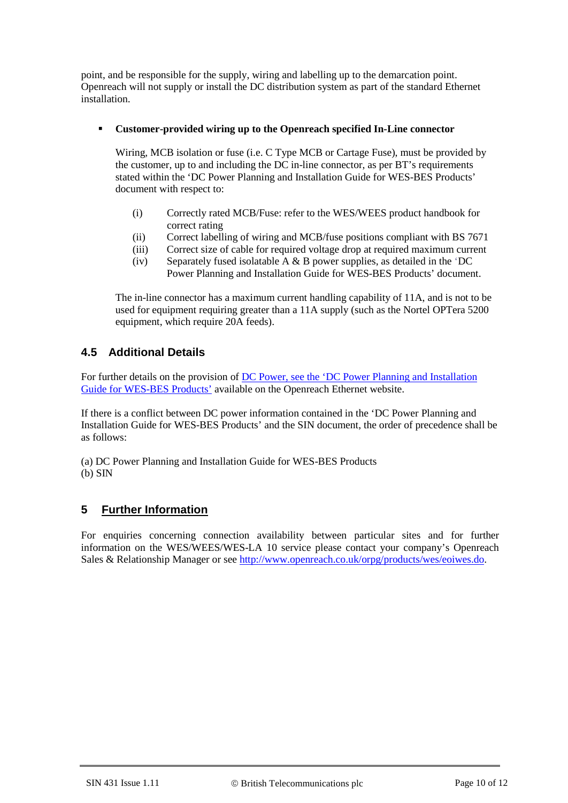point, and be responsible for the supply, wiring and labelling up to the demarcation point. Openreach will not supply or install the DC distribution system as part of the standard Ethernet installation.

#### **Customer-provided wiring up to the Openreach specified In-Line connector**

Wiring, MCB isolation or fuse (i.e. C Type MCB or Cartage Fuse), must be provided by the customer, up to and including the DC in-line connector, as per BT's requirements stated within the 'DC Power Planning and Installation Guide for WES-BES Products' document with respect to:

- (i) Correctly rated MCB/Fuse: refer to the WES/WEES product handbook for correct rating
- (ii) Correct labelling of wiring and MCB/fuse positions compliant with BS 7671
- (iii) Correct size of cable for required voltage drop at required maximum current
- (iv) Separately fused isolatable  $\overline{A} \& \overline{B}$  power supplies, as detailed in the 'DC Power Planning and Installation Guide for WES-BES Products' document.

The in-line connector has a maximum current handling capability of 11A, and is not to be used for equipment requiring greater than a 11A supply (such as the Nortel OPTera 5200 equipment, which require 20A feeds).

#### **4.5 Additional Details**

For further details on the provision of [DC Power, see the 'DC Power Planning and Installation](https://www.openreach.co.uk/orpg/home/newlogin.do?smauthreason=0&target=http%3A%2F%2Fwww.openreach.co.uk%2Forpg%2Fcustomerzone%2Fproducts%2Fethernetservices%2Fethernetaccessdirect%2Fdescription%2Fsupplementaryinformation%2Fsupplementaryinfo.do&fromMasterHead=1)  [Guide for WES-BES Products'](https://www.openreach.co.uk/orpg/home/newlogin.do?smauthreason=0&target=http%3A%2F%2Fwww.openreach.co.uk%2Forpg%2Fcustomerzone%2Fproducts%2Fethernetservices%2Fethernetaccessdirect%2Fdescription%2Fsupplementaryinformation%2Fsupplementaryinfo.do&fromMasterHead=1) available on the Openreach Ethernet website.

If there is a conflict between DC power information contained in the 'DC Power Planning and Installation Guide for WES-BES Products' and the SIN document, the order of precedence shall be as follows:

(a) DC Power Planning and Installation Guide for WES-BES Products (b) SIN

### **5 Further Information**

For enquiries concerning connection availability between particular sites and for further information on the WES/WEES/WES-LA 10 service please contact your company's Openreach Sales & Relationship Manager or see [http://www.openreach.co.uk/orpg/products/wes/eoiwes.do.](http://www.openreach.co.uk/orpg/products/wes/eoiwes.do)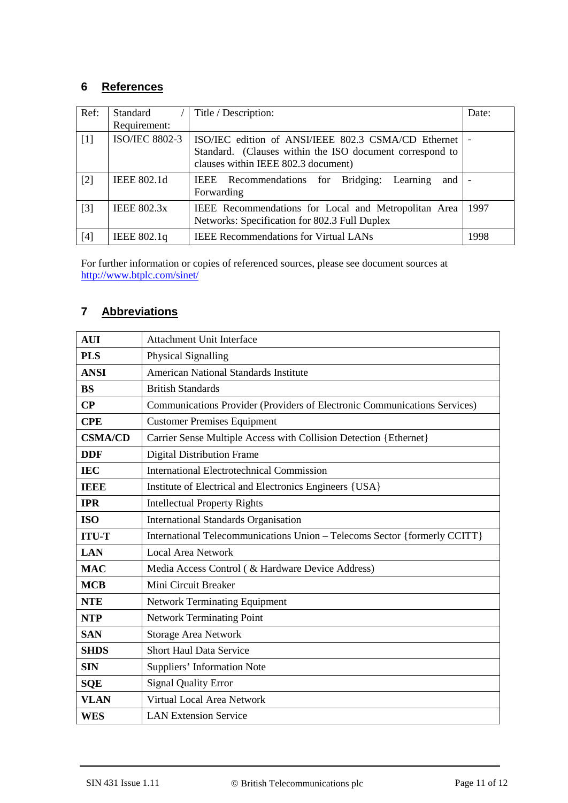### **6 References**

<span id="page-10-1"></span><span id="page-10-0"></span>

| Ref:  | Standard<br>Requirement: | Title / Description:                                                                                                                                   | Date: |
|-------|--------------------------|--------------------------------------------------------------------------------------------------------------------------------------------------------|-------|
| $[1]$ | <b>ISO/IEC 8802-3</b>    | ISO/IEC edition of ANSI/IEEE 802.3 CSMA/CD Ethernet<br>Standard. (Clauses within the ISO document correspond to<br>clauses within IEEE 802.3 document) |       |
| $[2]$ | <b>IEEE 802.1d</b>       | IEEE Recommendations for Bridging: Learning<br>and  <br>Forwarding                                                                                     |       |
| $[3]$ | <b>IEEE 802.3x</b>       | IEEE Recommendations for Local and Metropolitan Area<br>Networks: Specification for 802.3 Full Duplex                                                  | 1997  |
| $[4]$ | IEEE 802.1q              | <b>IEEE Recommendations for Virtual LANs</b>                                                                                                           | 1998  |

<span id="page-10-3"></span><span id="page-10-2"></span>For further information or copies of referenced sources, please see document sources at http://www.btplc.com/sinet/

### **7 Abbreviations**

| <b>AUI</b>     | Attachment Unit Interface                                                 |  |  |
|----------------|---------------------------------------------------------------------------|--|--|
| <b>PLS</b>     | Physical Signalling                                                       |  |  |
| <b>ANSI</b>    | <b>American National Standards Institute</b>                              |  |  |
| <b>BS</b>      | <b>British Standards</b>                                                  |  |  |
| CP             | Communications Provider (Providers of Electronic Communications Services) |  |  |
| <b>CPE</b>     | <b>Customer Premises Equipment</b>                                        |  |  |
| <b>CSMA/CD</b> | Carrier Sense Multiple Access with Collision Detection {Ethernet}         |  |  |
| <b>DDF</b>     | <b>Digital Distribution Frame</b>                                         |  |  |
| <b>IEC</b>     | <b>International Electrotechnical Commission</b>                          |  |  |
| <b>TEEP</b>    | Institute of Electrical and Electronics Engineers {USA}                   |  |  |
| <b>IPR</b>     | <b>Intellectual Property Rights</b>                                       |  |  |
| <b>ISO</b>     | <b>International Standards Organisation</b>                               |  |  |
| <b>ITU-T</b>   | International Telecommunications Union - Telecoms Sector {formerly CCITT} |  |  |
| <b>LAN</b>     | <b>Local Area Network</b>                                                 |  |  |
| <b>MAC</b>     | Media Access Control ( & Hardware Device Address)                         |  |  |
| <b>MCB</b>     | Mini Circuit Breaker                                                      |  |  |
| <b>NTE</b>     | Network Terminating Equipment                                             |  |  |
| <b>NTP</b>     | <b>Network Terminating Point</b>                                          |  |  |
| <b>SAN</b>     | <b>Storage Area Network</b>                                               |  |  |
| <b>SHDS</b>    | <b>Short Haul Data Service</b>                                            |  |  |
| <b>SIN</b>     | Suppliers' Information Note                                               |  |  |
| <b>SQE</b>     | <b>Signal Quality Error</b>                                               |  |  |
| <b>VLAN</b>    | Virtual Local Area Network                                                |  |  |
| <b>WES</b>     | <b>LAN Extension Service</b>                                              |  |  |